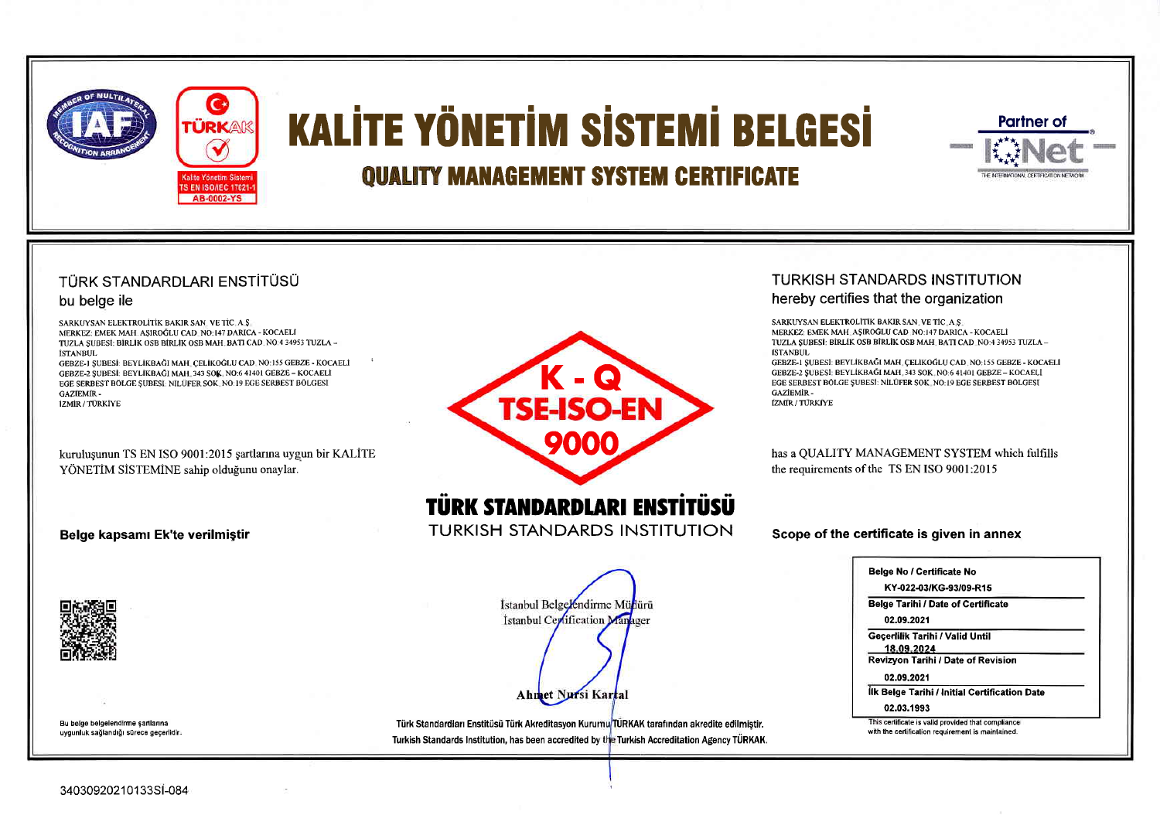

# **KALİTE YÖNETİM SİSTEMİ BELGESİ**

# **QUALITY MANAGEMENT SYSTEM CERTIFICATE**

# TÜRK STANDARDLARI ENSTİTÜSÜ

# bu belge ile

SARKUYSAN ELEKTROLÍTÍK BAKIR SAN, VE TÍC, A S MERKEZ: EMEK MAH ASIROĞLU CAD NO:147 DARICA - KOCAELİ TUZLA SUBESI: BIRLIK OSB BIRLIK OSB MAH, BATI CAD, NO:4 34953 TUZLA -**İSTANBUL** 

GEBZE-I ŞUBESİ: BEYLİKBAĞI MAH, ÇELİKOĞLU CAD, NO:155 GEBZE - KOCAELİ GEBZE-2 SUBESİ: BEYLİKBAĞI MAH. 343 SOK, NO:6 41401 GEBZE - KOCAELİ EGE SERBEST BÖLGE SUBESI: NILÜFER SOK. NO:19 EGE SERBEST BÖLGESI **GAZIEMIR-İZMİR / TÜRKİYE** 

kuruluşunun TS EN ISO 9001:2015 şartlarına uygun bir KALİTE YÖNETİM SİSTEMİNE sahip olduğunu onaylar.

# Belge kapsamı Ek'te verilmiştir



# **TÜRK STANDARDLARI ENSTITÜSÜ**

**TURKISH STANDARDS INSTITUTION** 

İstanbul Belgelendirme Müllürü Istanbul Certification Manager

Bu belge belgelendirme şartlarına uygunluk sağlandığı sürece geçerlidir.

Türk Standardları Enstitüsü Türk Akreditasyon Kurumu TÜRKAK tarafından akredite edilmiştir. Turkish Standards Institution, has been accredited by the Turkish Accreditation Agency TÜRKAK.

Ahmet Nursi Kartal

# TURKISH STANDARDS INSTITUTION

# hereby certifies that the organization

SARKUYSAN ELEKTROLÍTÍK BAKIR SAN, VE TÍC, A S. MERKEZ: EMEK MAH, ASIROĞLU CAD, NO:147 DARICA - KOCAELİ TUZLA SUBESI: BİRLİK OSB BİRLİK OSB MAH. BATI CAD. NO:4 34953 TUZLA -**İSTANBUL** 

**Partner of** 

THE INTERNATIONAL INCOTADO ATUNG NE

GEBZE-1 SUBESI: BEYLİKBAĞI MAH, CELİKOĞLU CAD, NO; 155 GEBZE - KOCAELİ GEBZE-2 SUBESİ: BEYLİKBAĞI MAH. 343 SOK. NO:6 41401 GEBZE - KOCAELİ EGE SERBEST BÖLGE SUBESI: NILÜFER SOK, NO: 19 EGE SERBEST BÖLGESI **GAZIEMIR-İZMIR / TÜRKİYE** 

has a QUALITY MANAGEMENT SYSTEM which fulfills the requirements of the TS EN ISO 9001:2015

Scope of the certificate is given in annex

| KY-022-03/KG-93/09-R15                                      |  |
|-------------------------------------------------------------|--|
| Belge Tarihi / Date of Certificate<br>02.09.2021            |  |
| Geçerlilik Tarihi / Valid Until<br>18.09.2024               |  |
| Revizyon Tarihi / Date of Revision<br>02.09.2021            |  |
| İlk Belge Tarihi / Initial Certification Date<br>02.03.1993 |  |